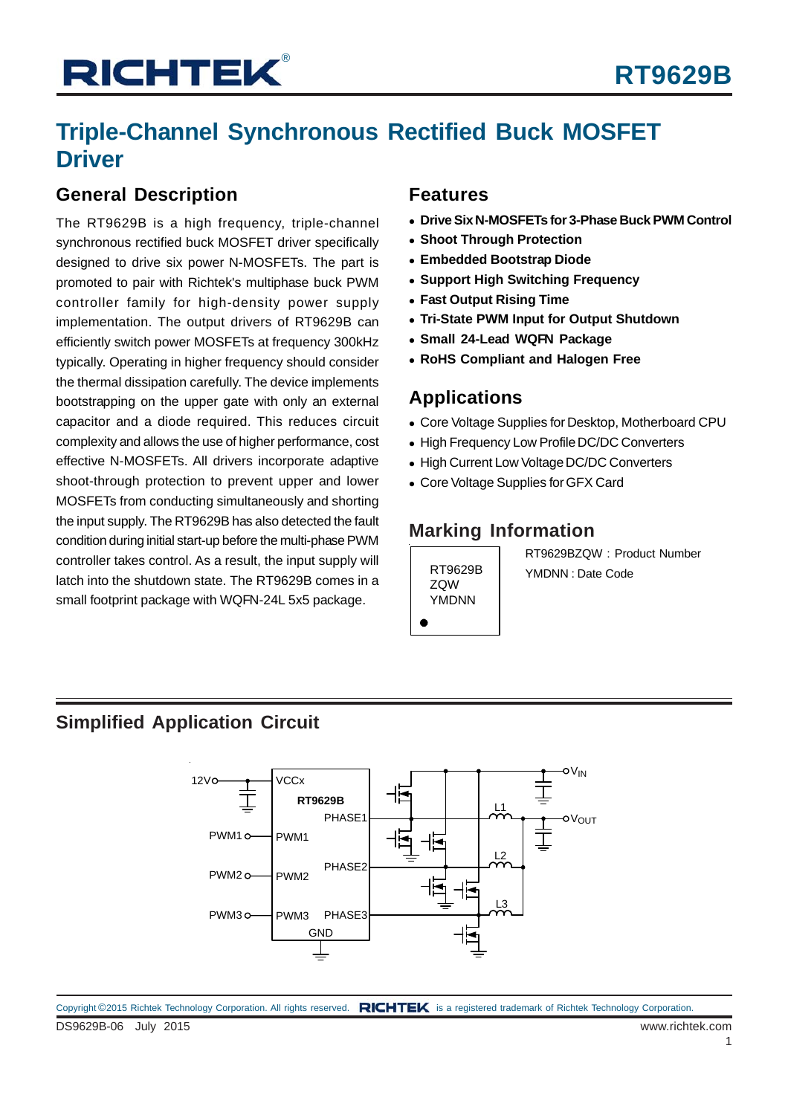## **Triple-Channel Synchronous Rectified Buck MOSFET Driver**

### **General Description**

The RT9629B is a high frequency, triple-channel synchronous rectified buck MOSFET driver specifically designed to drive six power N-MOSFETs. The part is promoted to pair with Richtek's multiphase buck PWM controller family for high-density power supply implementation. The output drivers of RT9629B can efficiently switch power MOSFETs at frequency 300kHz typically. Operating in higher frequency should consider the thermal dissipation carefully. The device implements bootstrapping on the upper gate with only an external capacitor and a diode required. This reduces circuit complexity and allows the use of higher performance, cost effective N-MOSFETs. All drivers incorporate adaptive shoot-through protection to prevent upper and lower MOSFETs from conducting simultaneously and shorting the input supply. The RT9629B has also detected the fault condition during initial start-up before the multi-phase PWM controller takes control. As a result, the input supply will latch into the shutdown state. The RT9629B comes in a small footprint package with WQFN-24L 5x5 package.

#### **Features**

- **Drive Six N-MOSFETs for 3-Phase Buck PWM Control**
- **Shoot Through Protection**
- **Embedded Bootstrap Diode**
- **Support High Switching Frequency**
- **Fast Output Rising Time**
- **Tri-State PWM Input for Output Shutdown**
- **Small 24-Lead WQFN Package**
- **RoHS Compliant and Halogen Free**

### **Applications**

- Core Voltage Supplies for Desktop, Motherboard CPU
- High Frequency Low Profile DC/DC Converters
- High Current Low Voltage DC/DC Converters
- Core Voltage Supplies for GFX Card

### **Marking Information**

ZQW YMDNN

RT9629BZQW : Product Number RT9629B | YMDNN : Date Code

### **Simplified Application Circuit**

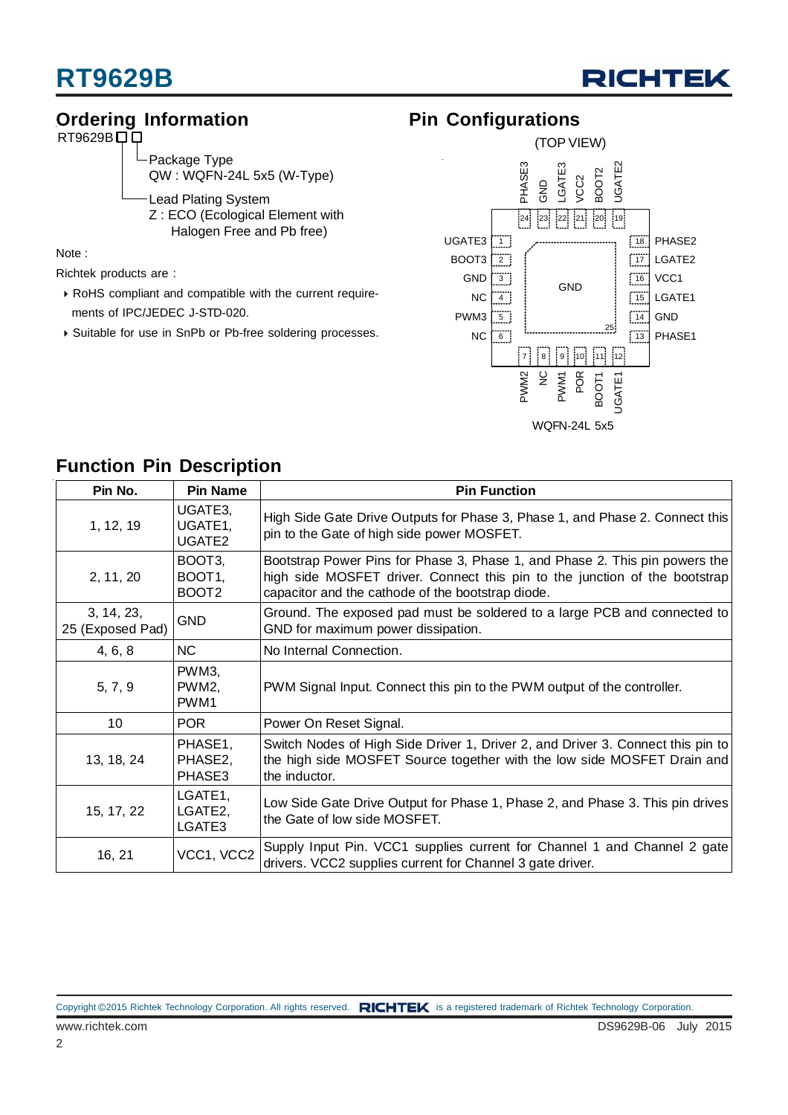

### **Ordering Information**

 $RT9629B$  $D$ 

Package Type QW : WQFN-24L 5x5 (W-Type)

Lead Plating System Z : ECO (Ecological Element with Halogen Free and Pb free)

Note :

Richtek products are :

- RoHS compliant and compatible with the current require ments of IPC/JEDEC J-STD-020.
- Suitable for use in SnPb or Pb-free soldering processes.

### **Pin Configurations**



### **Function Pin Description**

| Pin No.                        | <b>Pin Name</b>                                             | <b>Pin Function</b>                                                                                                                                                                                            |
|--------------------------------|-------------------------------------------------------------|----------------------------------------------------------------------------------------------------------------------------------------------------------------------------------------------------------------|
| 1, 12, 19                      | UGATE3,<br>UGATE1,<br>UGATE2                                | High Side Gate Drive Outputs for Phase 3, Phase 1, and Phase 2. Connect this<br>pin to the Gate of high side power MOSFET.                                                                                     |
| 2, 11, 20                      | BOOT <sub>3</sub><br>BOOT <sub>1</sub><br>BOOT <sub>2</sub> | Bootstrap Power Pins for Phase 3, Phase 1, and Phase 2. This pin powers the<br>high side MOSFET driver. Connect this pin to the junction of the bootstrap<br>capacitor and the cathode of the bootstrap diode. |
| 3, 14, 23,<br>25 (Exposed Pad) | <b>GND</b>                                                  | Ground. The exposed pad must be soldered to a large PCB and connected to<br>GND for maximum power dissipation.                                                                                                 |
| 4, 6, 8                        | <b>NC</b>                                                   | No Internal Connection.                                                                                                                                                                                        |
| 5, 7, 9                        | PWM3,<br>PWM2,<br>PWM1                                      | PWM Signal Input. Connect this pin to the PWM output of the controller.                                                                                                                                        |
| 10                             | POR                                                         | Power On Reset Signal.                                                                                                                                                                                         |
| 13, 18, 24                     | PHASE1,<br>PHASE2,<br>PHASE3                                | Switch Nodes of High Side Driver 1, Driver 2, and Driver 3. Connect this pin to<br>the high side MOSFET Source together with the low side MOSFET Drain and<br>the inductor.                                    |
| 15, 17, 22                     | LGATE1,<br>LGATE2,<br>LGATE3                                | Low Side Gate Drive Output for Phase 1, Phase 2, and Phase 3. This pin drives<br>the Gate of low side MOSFET.                                                                                                  |
| 16, 21                         | VCC1, VCC2                                                  | Supply Input Pin. VCC1 supplies current for Channel 1 and Channel 2 gate<br>drivers. VCC2 supplies current for Channel 3 gate driver.                                                                          |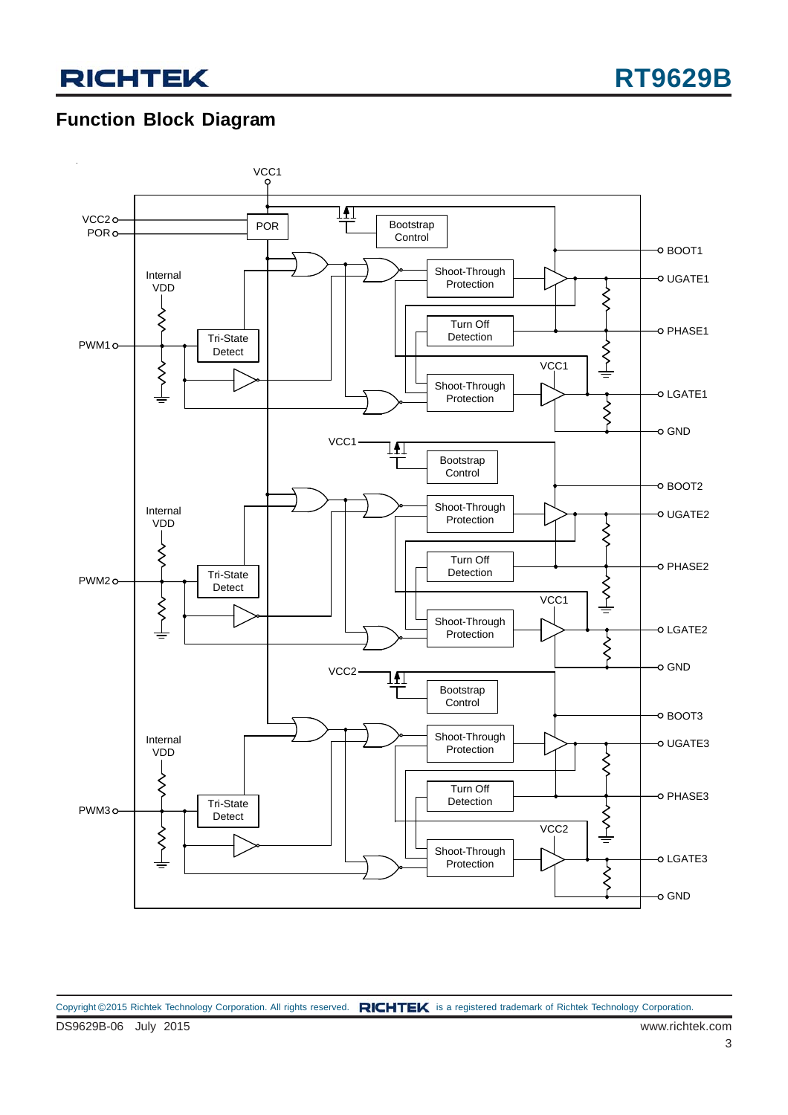### **Function Block Diagram**

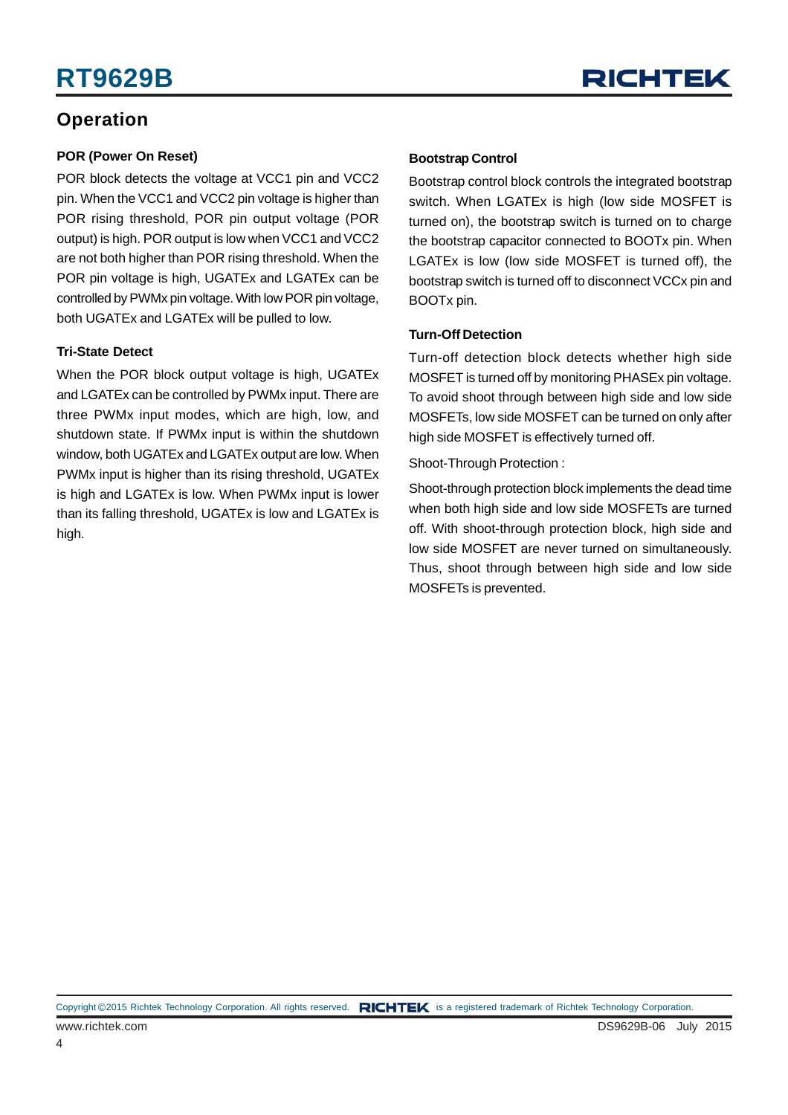## **RT9629B**



### **Operation**

#### **POR (Power On Reset)**

POR block detects the voltage at VCC1 pin and VCC2 pin. When the VCC1 and VCC2 pin voltage is higher than POR rising threshold, POR pin output voltage (POR output) is high. POR output is low when VCC1 and VCC2 are not both higher than POR rising threshold. When the POR pin voltage is high, UGATEx and LGATEx can be controlled by PWMx pin voltage. With low POR pin voltage, both UGATEx and LGATEx will be pulled to low.

#### **Tri-State Detect**

When the POR block output voltage is high, UGATEx and LGATEx can be controlled by PWMx input. There are three PWMx input modes, which are high, low, and shutdown state. If PWMx input is within the shutdown window, both UGATEx and LGATEx output are low. When PWMx input is higher than its rising threshold, UGATEx is high and LGATEx is low. When PWMx input is lower than its falling threshold, UGATEx is low and LGATEx is high.

#### **Bootstrap Control**

Bootstrap control block controls the integrated bootstrap switch. When LGATEx is high (low side MOSFET is turned on), the bootstrap switch is turned on to charge the bootstrap capacitor connected to BOOTx pin. When LGATEx is low (low side MOSFET is turned off), the bootstrap switch is turned off to disconnect VCCx pin and BOOTx pin.

#### **Turn-Off Detection**

Turn-off detection block detects whether high side MOSFET is turned off by monitoring PHASEx pin voltage. To avoid shoot through between high side and low side MOSFETs, low side MOSFET can be turned on only after high side MOSFET is effectively turned off.

Shoot-Through Protection :

Shoot-through protection block implements the dead time when both high side and low side MOSFETs are turned off. With shoot-through protection block, high side and low side MOSFET are never turned on simultaneously. Thus, shoot through between high side and low side MOSFETs is prevented.

Copyright ©2015 Richtek Technology Corporation. All rights reserved. RICHTEK is a registered trademark of Richtek Technology Corporation.

4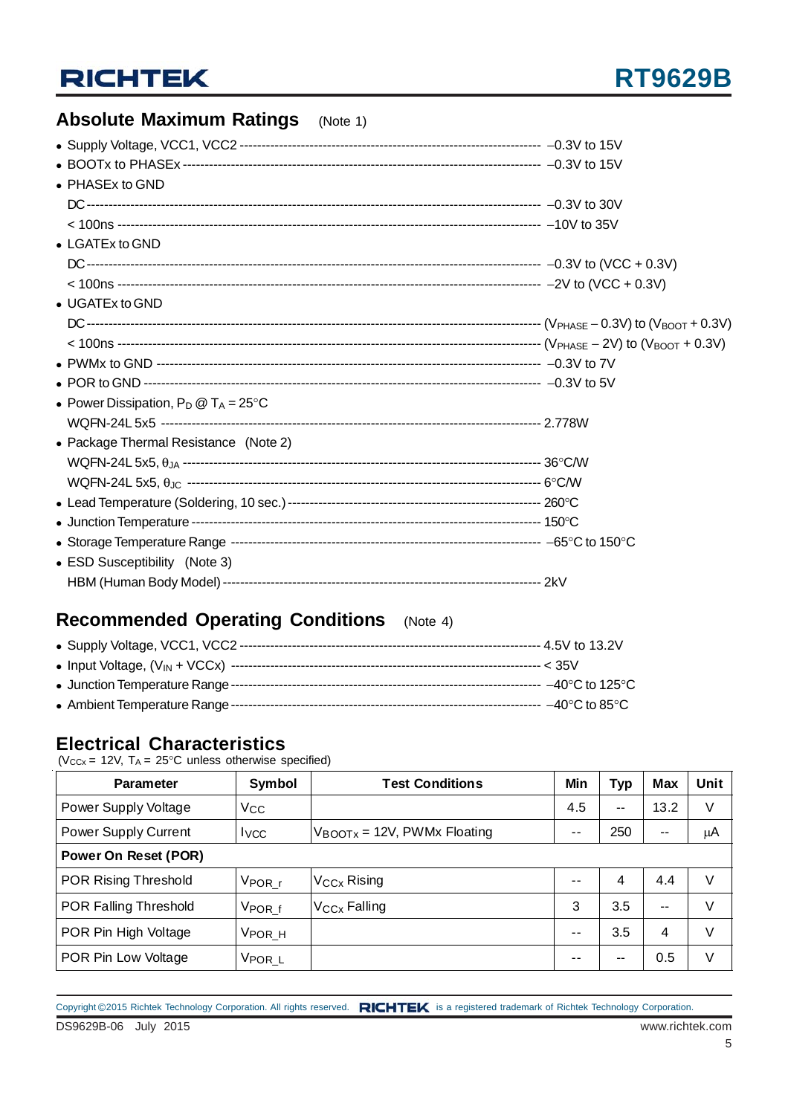### **Absolute Maximum Ratings** (Note 1)

| • PHASEx to GND                                |  |
|------------------------------------------------|--|
|                                                |  |
|                                                |  |
| • LGATEx to GND                                |  |
|                                                |  |
|                                                |  |
| • UGATEx to GND                                |  |
|                                                |  |
|                                                |  |
|                                                |  |
|                                                |  |
| • Power Dissipation, $P_D @ T_A = 25^{\circ}C$ |  |
|                                                |  |
| • Package Thermal Resistance (Note 2)          |  |
|                                                |  |
|                                                |  |
|                                                |  |
|                                                |  |
|                                                |  |
| • ESD Susceptibility (Note 3)                  |  |
|                                                |  |

### **Recommended Operating Conditions** (Note 4)

#### **Electrical Characteristics**

( $V_{CCx}$  = 12V,  $T_A$  = 25°C unless otherwise specified)

| <b>Parameter</b>            | Symbol                | <b>Test Conditions</b>                  | Min  | <b>Typ</b> | <b>Max</b> | Unit |
|-----------------------------|-----------------------|-----------------------------------------|------|------------|------------|------|
| Power Supply Voltage        | Vcc                   |                                         | 4.5  | $\sim$     | 13.2       | V    |
| <b>Power Supply Current</b> | <b>I</b> vcc          | $V_{\text{BOOTX}}$ = 12V, PWMx Floating | $ -$ | 250        | $- -$      | μA   |
| <b>Power On Reset (POR)</b> |                       |                                         |      |            |            |      |
| POR Rising Threshold        | $V_{\mathsf{POR\_r}}$ | V <sub>CCx</sub> Rising                 | $ -$ | 4          | 4.4        | V    |
| POR Falling Threshold       | $V_{\text{POR}_f}$    | V <sub>CCx</sub> Falling                | 3    | 3.5        | --         | V    |
| POR Pin High Voltage        | V <sub>POR_H</sub>    |                                         | $ -$ | 3.5        | 4          | V    |
| POR Pin Low Voltage         | V <sub>POR_L</sub>    |                                         | --   | --         | 0.5        | V    |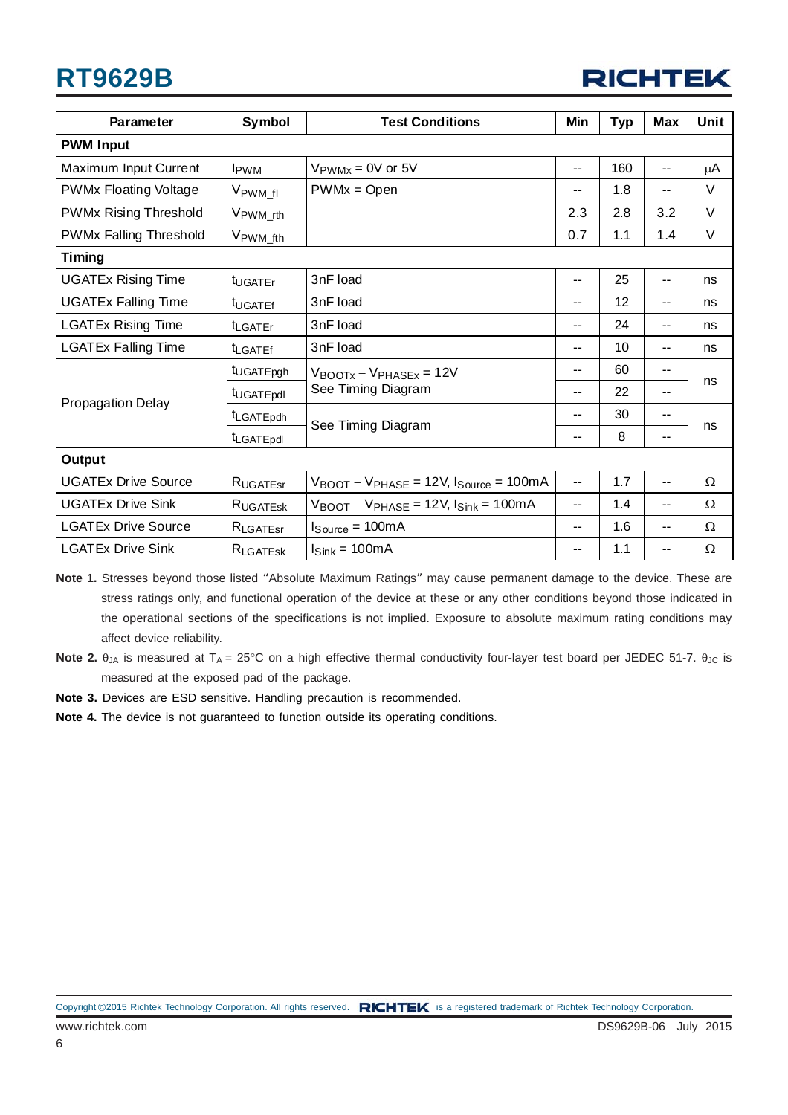## **RT9629B**



| <b>Parameter</b>              | Symbol                  | <b>Test Conditions</b>                                                        | Min                      | <b>Typ</b> | <b>Max</b>               | Unit     |
|-------------------------------|-------------------------|-------------------------------------------------------------------------------|--------------------------|------------|--------------------------|----------|
| <b>PWM Input</b>              |                         |                                                                               |                          |            |                          |          |
| Maximum Input Current         | <b>I</b> <sub>PWM</sub> | $V_{\text{PWMx}} = 0V$ or 5V                                                  | --                       | 160        | --                       | μA       |
| <b>PWMx Floating Voltage</b>  | V <sub>PWM_fl</sub>     | $PWMx = Open$                                                                 | --                       | 1.8        | $-$                      | V        |
| <b>PWMx Rising Threshold</b>  | V <sub>PWM_rth</sub>    |                                                                               | 2.3                      | 2.8        | 3.2                      | V        |
| <b>PWMx Falling Threshold</b> | V <sub>PWM_fth</sub>    |                                                                               | 0.7                      | 1.1        | 1.4                      | V        |
| <b>Timing</b>                 |                         |                                                                               |                          |            |                          |          |
| <b>UGATEx Rising Time</b>     | t <sub>UGATEr</sub>     | 3nF load                                                                      | $\overline{\phantom{a}}$ | 25         | --                       | ns       |
| <b>UGATEx Falling Time</b>    | t <sub>UGATEf</sub>     | 3nF load                                                                      | $\sim$ $\sim$            | 12         | $\overline{\phantom{a}}$ | ns       |
| <b>LGATEx Rising Time</b>     | <b>t</b> LGATEr         | 3nF load                                                                      | $\overline{\phantom{a}}$ | 24         | $\overline{\phantom{a}}$ | ns       |
| <b>LGATEx Falling Time</b>    | <b>ILGATEf</b>          | 3nF load                                                                      | $-$                      | 10         | --                       | ns       |
|                               | t <sub>UGATEpgh</sub>   | $V_{\text{BOOTx}} - V_{\text{PHASEx}} = 12V$                                  | --                       | 60         | --                       |          |
| <b>Propagation Delay</b>      | t <sub>UGATEpdl</sub>   | See Timing Diagram                                                            |                          | 22         | $\overline{\phantom{a}}$ | ns       |
|                               | t <sub>LGATEpdh</sub>   |                                                                               | --                       | 30         | --                       | ns       |
|                               | tLGATEpdl               | See Timing Diagram                                                            | --                       | 8          | ۰.                       |          |
| Output                        |                         |                                                                               |                          |            |                          |          |
| <b>UGATEx Drive Source</b>    | RUGATEST                | $V_{\text{BOOT}} - V_{\text{PHASE}} = 12V, I_{\text{Source}} = 100 \text{mA}$ | $\overline{\phantom{a}}$ | 1.7        | $\overline{\phantom{a}}$ | $\Omega$ |
| <b>UGATEx Drive Sink</b>      | <b>RUGATESK</b>         | $V_{\text{BOOT}} - V_{\text{PHASE}} = 12V, l_{\text{Sink}} = 100 \text{mA}$   | --                       | 1.4        | --                       | Ω        |
| <b>LGATEx Drive Source</b>    | $R_{\text{LGATEsr}}$    | $I_{Source} = 100mA$                                                          | $\overline{\phantom{a}}$ | 1.6        | $\overline{\phantom{a}}$ | Ω        |
| <b>LGATEx Drive Sink</b>      | RLGATESK                | $I_{\text{Sink}} = 100mA$                                                     | --                       | 1.1        | --                       | Ω        |

**Note 1.** Stresses beyond those listed "Absolute Maximum Ratings" may cause permanent damage to the device. These are stress ratings only, and functional operation of the device at these or any other conditions beyond those indicated in the operational sections of the specifications is not implied. Exposure to absolute maximum rating conditions may affect device reliability.

- **Note 2.** θ<sub>JA</sub> is measured at T<sub>A</sub> = 25°C on a high effective thermal conductivity four-layer test board per JEDEC 51-7. θ<sub>JC</sub> is measured at the exposed pad of the package.
- **Note 3.** Devices are ESD sensitive. Handling precaution is recommended.
- **Note 4.** The device is not guaranteed to function outside its operating conditions.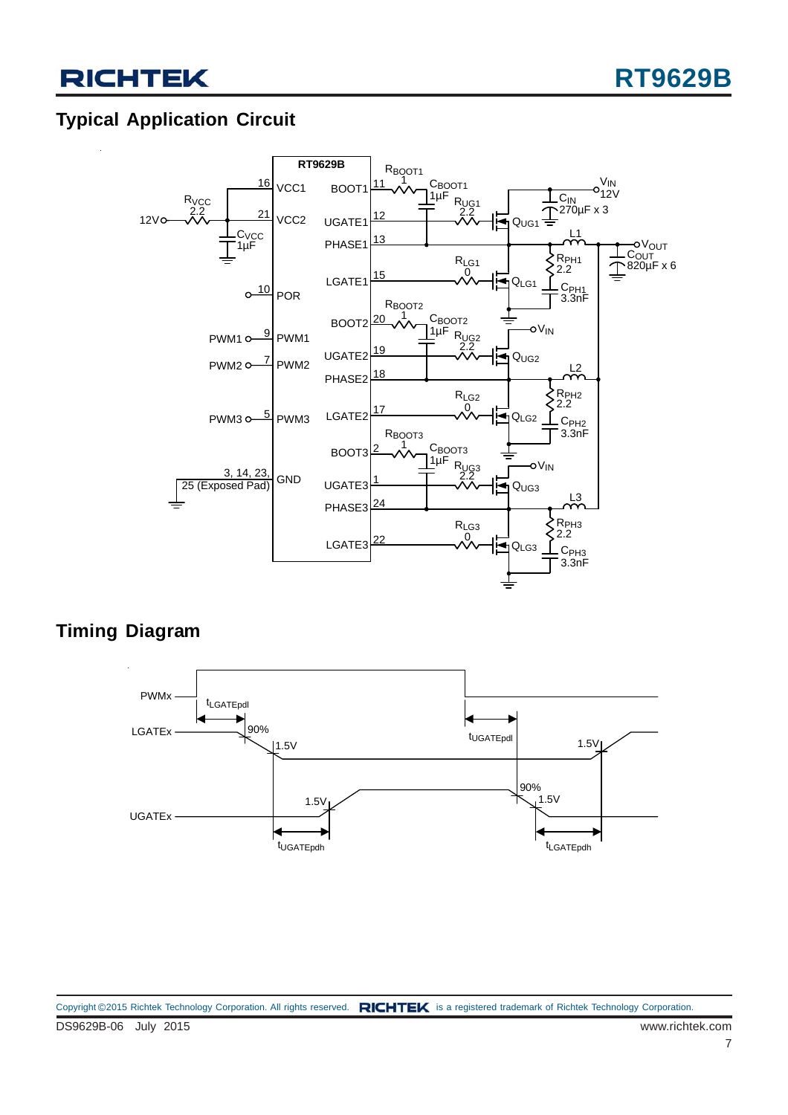### **Typical Application Circuit**



### **Timing Diagram**

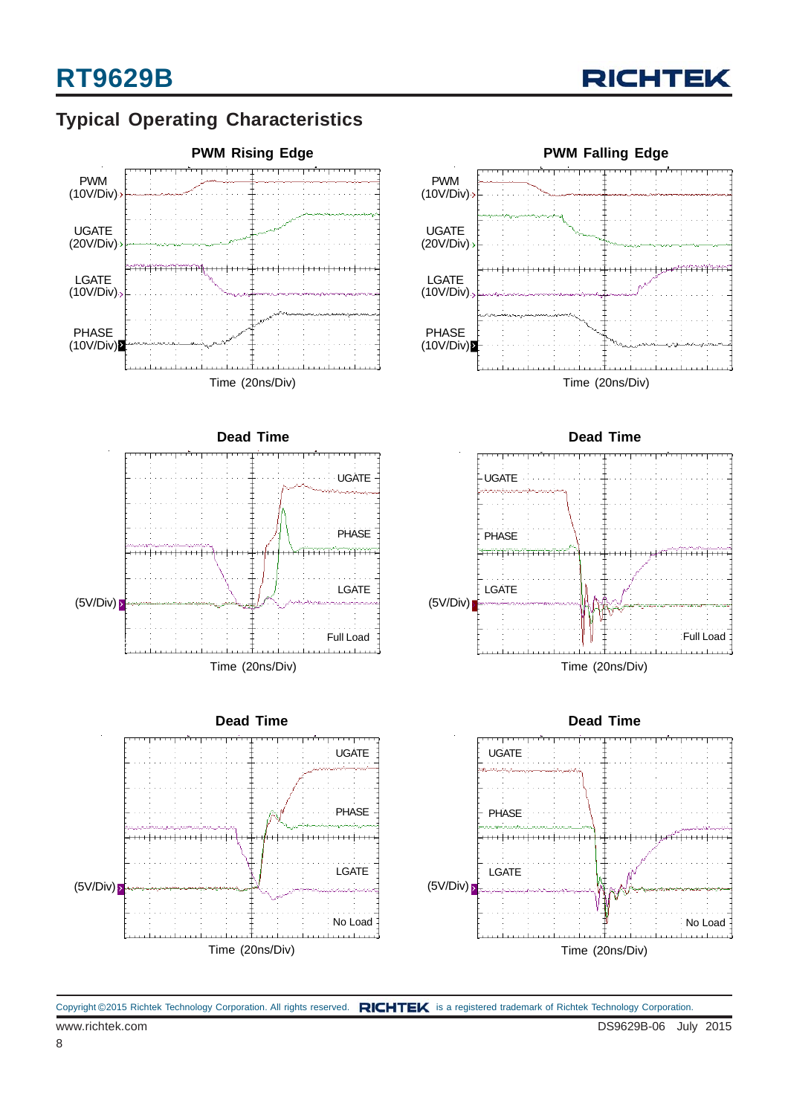

### **Typical Operating Characteristics**



www.richtek.com DS9629B-06 July 2015 Copyright ©2015 Richtek Technology Corporation. All rights reserved. RICHTEK is a registered trademark of Richtek Technology Corporation.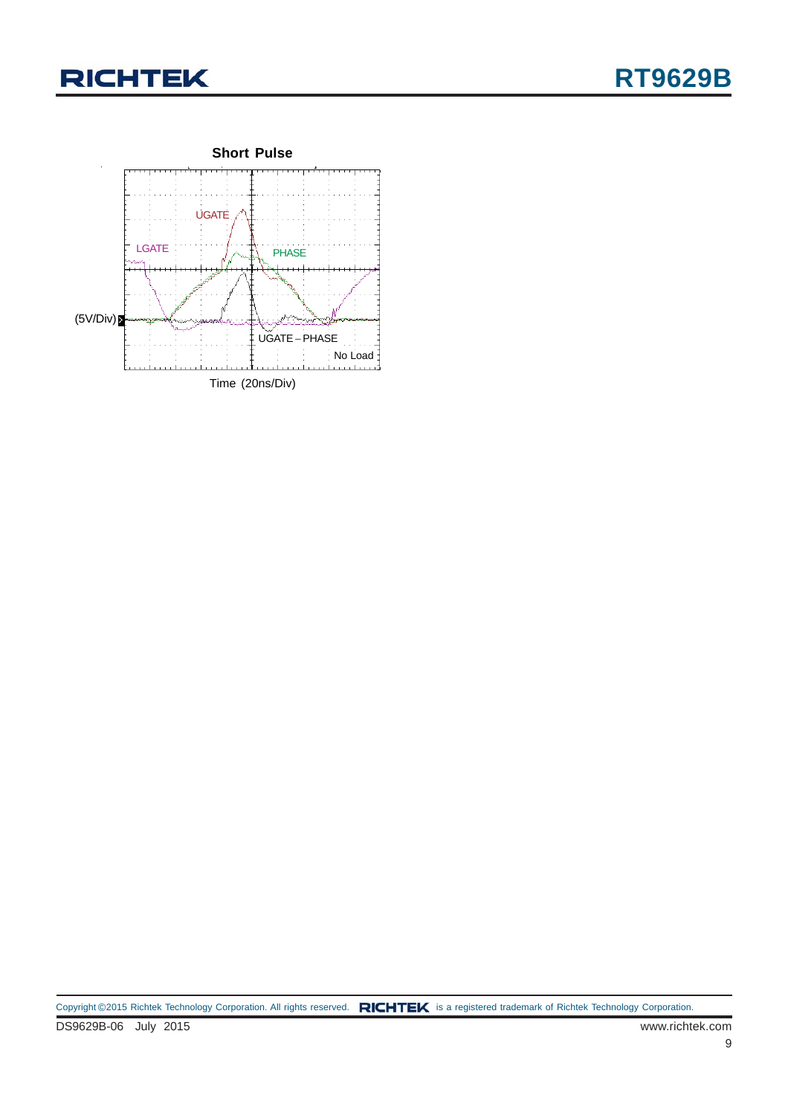

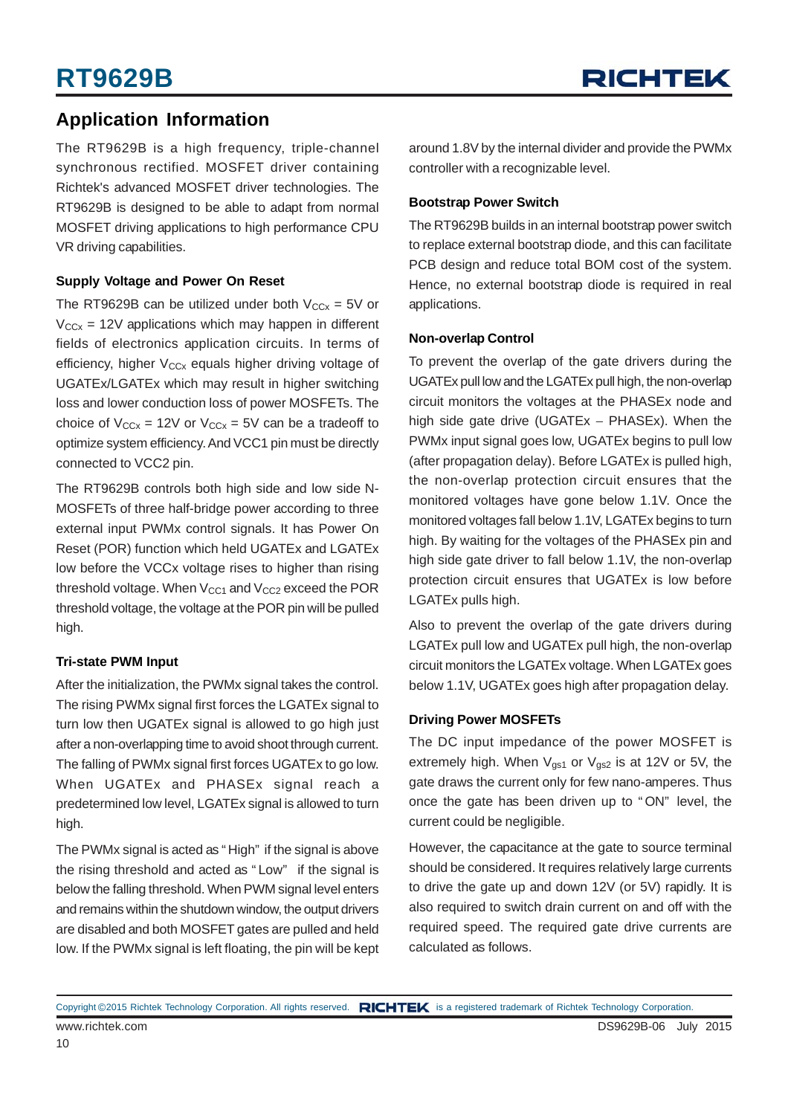### **Application Information**

The RT9629B is a high frequency, triple-channel synchronous rectified. MOSFET driver containing Richtek's advanced MOSFET driver technologies. The RT9629B is designed to be able to adapt from normal MOSFET driving applications to high performance CPU VR driving capabilities.

#### **Supply Voltage and Power On Reset**

The RT9629B can be utilized under both  $V_{CCx} = 5V$  or  $V_{CCx}$  = 12V applications which may happen in different fields of electronics application circuits. In terms of efficiency, higher  $V_{CCx}$  equals higher driving voltage of UGATEx/LGATEx which may result in higher switching loss and lower conduction loss of power MOSFETs. The choice of  $V_{CCx}$  = 12V or  $V_{CCx}$  = 5V can be a tradeoff to optimize system efficiency. And VCC1 pin must be directly connected to VCC2 pin.

The RT9629B controls both high side and low side N-MOSFETs of three half-bridge power according to three external input PWMx control signals. It has Power On Reset (POR) function which held UGATEx and LGATEx low before the VCCx voltage rises to higher than rising threshold voltage. When  $V_{CC1}$  and  $V_{CC2}$  exceed the POR threshold voltage, the voltage at the POR pin will be pulled high.

#### **Tri-state PWM Input**

After the initialization, the PWMx signal takes the control. The rising PWMx signal first forces the LGATEx signal to turn low then UGATEx signal is allowed to go high just after a non-overlapping time to avoid shoot through current. The falling of PWMx signal first forces UGATEx to go low. When UGATEx and PHASEx signal reach a predetermined low level, LGATEx signal is allowed to turn high.

The PWMx signal is acted as "High" if the signal is above the rising threshold and acted as " Low" if the signal is below the falling threshold. When PWM signal level enters and remains within the shutdown window, the output drivers are disabled and both MOSFET gates are pulled and held low. If the PWMx signal is left floating, the pin will be kept around 1.8V by the internal divider and provide the PWMx controller with a recognizable level.

#### **Bootstrap Power Switch**

The RT9629B builds in an internal bootstrap power switch to replace external bootstrap diode, and this can facilitate PCB design and reduce total BOM cost of the system. Hence, no external bootstrap diode is required in real applications.

#### **Non-overlap Control**

To prevent the overlap of the gate drivers during the UGATEx pull low and the LGATEx pull high, the non-overlap circuit monitors the voltages at the PHASEx node and high side gate drive (UGATEx – PHASEx). When the PWMx input signal goes low, UGATEx begins to pull low (after propagation delay). Before LGATEx is pulled high, the non-overlap protection circuit ensures that the monitored voltages have gone below 1.1V. Once the monitored voltages fall below 1.1V, LGATEx begins to turn high. By waiting for the voltages of the PHASEx pin and high side gate driver to fall below 1.1V, the non-overlap protection circuit ensures that UGATEx is low before LGATEx pulls high.

Also to prevent the overlap of the gate drivers during LGATEx pull low and UGATEx pull high, the non-overlap circuit monitors the LGATEx voltage. When LGATEx goes below 1.1V, UGATEx goes high after propagation delay.

#### **Driving Power MOSFETs**

The DC input impedance of the power MOSFET is extremely high. When  $V_{gs1}$  or  $V_{gs2}$  is at 12V or 5V, the gate draws the current only for few nano-amperes. Thus once the gate has been driven up to " ON" level, the current could be negligible.

However, the capacitance at the gate to source terminal should be considered. It requires relatively large currents to drive the gate up and down 12V (or 5V) rapidly. It is also required to switch drain current on and off with the required speed. The required gate drive currents are calculated as follows.

Copyright ©2015 Richtek Technology Corporation. All rights reserved. RICHTEK is a registered trademark of Richtek Technology Corporation.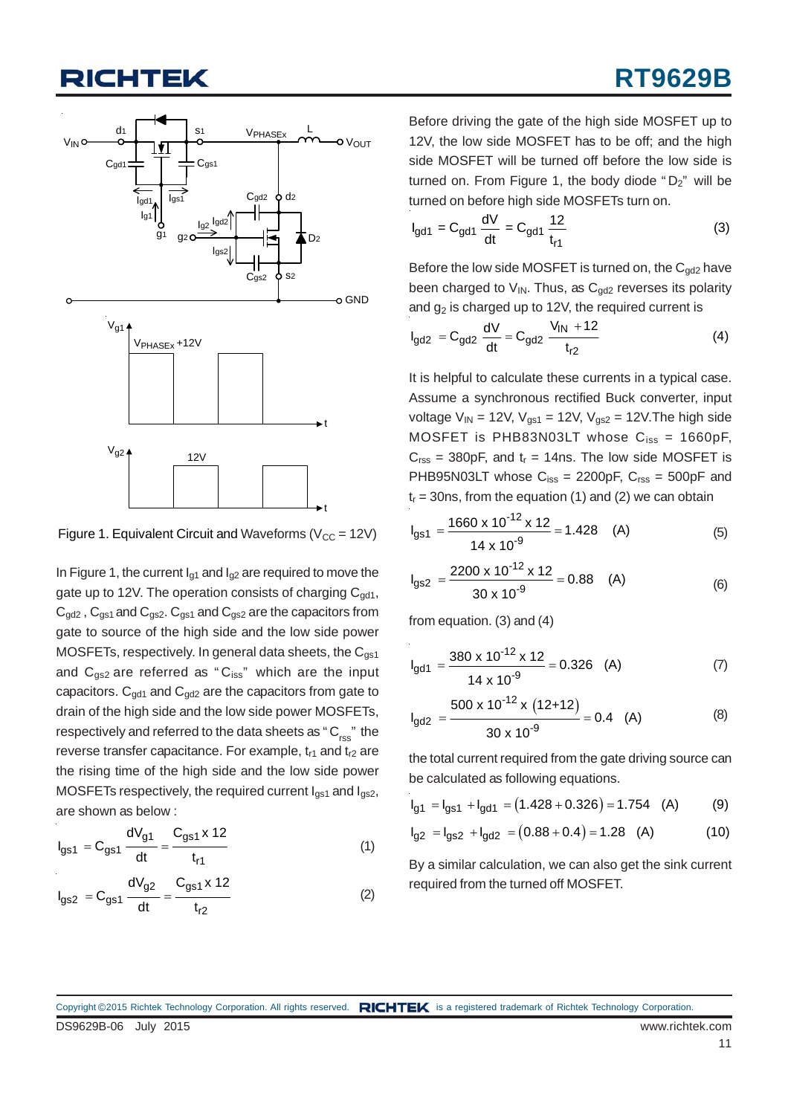## HTEK

![](_page_10_Figure_2.jpeg)

Figure 1. Equivalent Circuit and Waveforms ( $V_{CC} = 12V$ )

In Figure 1, the current  $I_{q1}$  and  $I_{q2}$  are required to move the gate up to 12V. The operation consists of charging  $C_{\alpha d1}$ ,  $C_{\text{gd2}}$ ,  $C_{\text{gs1}}$  and  $C_{\text{gs2}}$ .  $C_{\text{gs1}}$  and  $C_{\text{gs2}}$  are the capacitors from gate to source of the high side and the low side power MOSFETs, respectively. In general data sheets, the  $C_{qs1}$ and  $C_{gs2}$  are referred as " $C_{iss}$ " which are the input capacitors.  $C_{qd1}$  and  $C_{qd2}$  are the capacitors from gate to drain of the high side and the low side power MOSFETs, respectively and referred to the data sheets as "C<sub>rss</sub>" the reverse transfer capacitance. For example,  $t_{r1}$  and  $t_{r2}$  are the rising time of the high side and the low side power MOSFETs respectively, the required current  $I_{gs1}$  and  $I_{gs2}$ , are shown as below :

$$
I_{gs1} = C_{gs1} \frac{dV_{g1}}{dt} = \frac{C_{gs1} \times 12}{t_{r1}}
$$
 (1)

$$
I_{gs2} = C_{gs1} \frac{dV_{g2}}{dt} = \frac{C_{gs1} \times 12}{t_{r2}}
$$
 (2)

Before driving the gate of the high side MOSFET up to 12V, the low side MOSFET has to be off; and the high side MOSFET will be turned off before the low side is turned on. From Figure 1, the body diode " $D_2$ " will be turned on before high side MOSFETs turn on.

$$
I_{gd1} = C_{gd1} \frac{dV}{dt} = C_{gd1} \frac{12}{t_{r1}}
$$
 (3)

Before the low side MOSFET is turned on, the  $C_{qd2}$  have been charged to  $V_{IN}$ . Thus, as  $C_{qd2}$  reverses its polarity and  $g_2$  is charged up to 12V, the required current is

$$
I_{gd2} = C_{gd2} \frac{dV}{dt} = C_{gd2} \frac{V_{1N} + 12}{t_{r2}}
$$
 (4)

It is helpful to calculate these currents in a typical case. Assume a synchronous rectified Buck converter, input voltage  $V_{IN}$  = 12V,  $V_{gs1}$  = 12V,  $V_{gs2}$  = 12V. The high side MOSFET is PHB83N03LT whose  $C_{iss} = 1660pF$ ,  $C_{\text{rss}}$  = 380pF, and  $t_r$  = 14ns. The low side MOSFET is PHB95N03LT whose  $C_{iss} = 2200pF$ ,  $C_{rss} = 500pF$  and  $t_r = 30$ ns, from the equation (1) and (2) we can obtain

$$
I_{gs1} = \frac{1660 \times 10^{-12} \times 12}{14 \times 10^{-9}} = 1.428 \quad (A)
$$
 (5)

$$
I_{gs2} = \frac{2200 \times 10^{-12} \times 12}{30 \times 10^{-9}} = 0.88 \quad (A)
$$
 (6)

from equation. (3) and (4)

$$
I_{gd1} = \frac{380 \times 10^{-12} \times 12}{14 \times 10^{-9}} = 0.326
$$
 (A) (7)

$$
I_{\text{gd2}} = \frac{500 \times 10^{-12} \times (12+12)}{30 \times 10^{-9}} = 0.4 \quad \text{(A)} \tag{8}
$$

the total current required from the gate driving source can be calculated as following equations.

$$
I_{g1} = I_{g51} + I_{gd1} = (1.428 + 0.326) = 1.754
$$
 (A) (9)

$$
I_{g2} = I_{gS2} + I_{gd2} = (0.88 + 0.4) = 1.28
$$
 (A) (10)

By a similar calculation, we can also get the sink current required from the turned off MOSFET.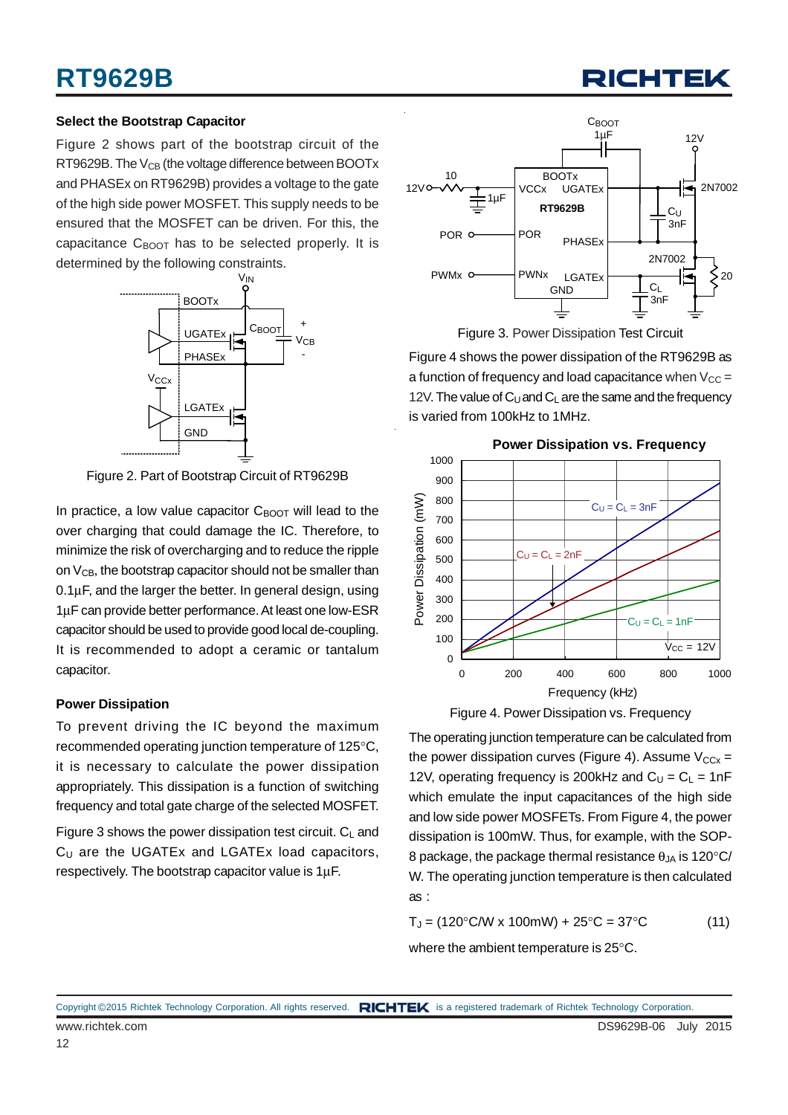#### **Select the Bootstrap Capacitor**

Figure 2 shows part of the bootstrap circuit of the RT9629B. The V<sub>CB</sub> (the voltage difference between BOOTx and PHASEx on RT9629B) provides a voltage to the gate of the high side power MOSFET. This supply needs to be ensured that the MOSFET can be driven. For this, the capacitance  $C_{\text{BNOT}}$  has to be selected properly. It is determined by the following constraints.

![](_page_11_Figure_4.jpeg)

Figure 2. Part of Bootstrap Circuit of RT9629B

In practice, a low value capacitor  $C_{\text{BOOT}}$  will lead to the over charging that could damage the IC. Therefore, to minimize the risk of overcharging and to reduce the ripple on  $V_{CB}$ , the bootstrap capacitor should not be smaller than 0.1μF, and the larger the better. In general design, using 1μF can provide better performance. At least one low-ESR capacitor should be used to provide good local de-coupling. It is recommended to adopt a ceramic or tantalum capacitor.

#### **Power Dissipation**

To prevent driving the IC beyond the maximum recommended operating junction temperature of 125°C, it is necessary to calculate the power dissipation appropriately. This dissipation is a function of switching frequency and total gate charge of the selected MOSFET.

Figure 3 shows the power dissipation test circuit.  $C_L$  and  $C_{\text{U}}$  are the UGATEx and LGATEx load capacitors, respectively. The bootstrap capacitor value is 1μF.

![](_page_11_Figure_10.jpeg)

Figure 3. Power Dissipation Test Circuit

Figure 4 shows the power dissipation of the RT9629B as a function of frequency and load capacitance when  $V_{CC} =$ 12V. The value of  $C_U$  and  $C_L$  are the same and the frequency is varied from 100kHz to 1MHz.

![](_page_11_Figure_13.jpeg)

Figure 4. Power Dissipation vs. Frequency

The operating junction temperature can be calculated from the power dissipation curves (Figure 4). Assume  $V_{CCx} =$ 12V, operating frequency is 200 kHz and  $C_{U} = C_{L} = 1$ nF which emulate the input capacitances of the high side and low side power MOSFETs. From Figure 4, the power dissipation is 100mW. Thus, for example, with the SOP-8 package, the package thermal resistance  $\theta_{JA}$  is 120 $\degree$ C/ W. The operating junction temperature is then calculated as :

 $T_{\text{J}} = (120^{\circ} \text{C/W} \times 100 \text{mW}) + 25^{\circ} \text{C} = 37^{\circ} \text{C}$  (11)

where the ambient temperature is 25°C.

www.richtek.com **DS9629B-06** July 2015 Copyright ©2015 Richtek Technology Corporation. All rights reserved. RICHTEK is a registered trademark of Richtek Technology Corporation.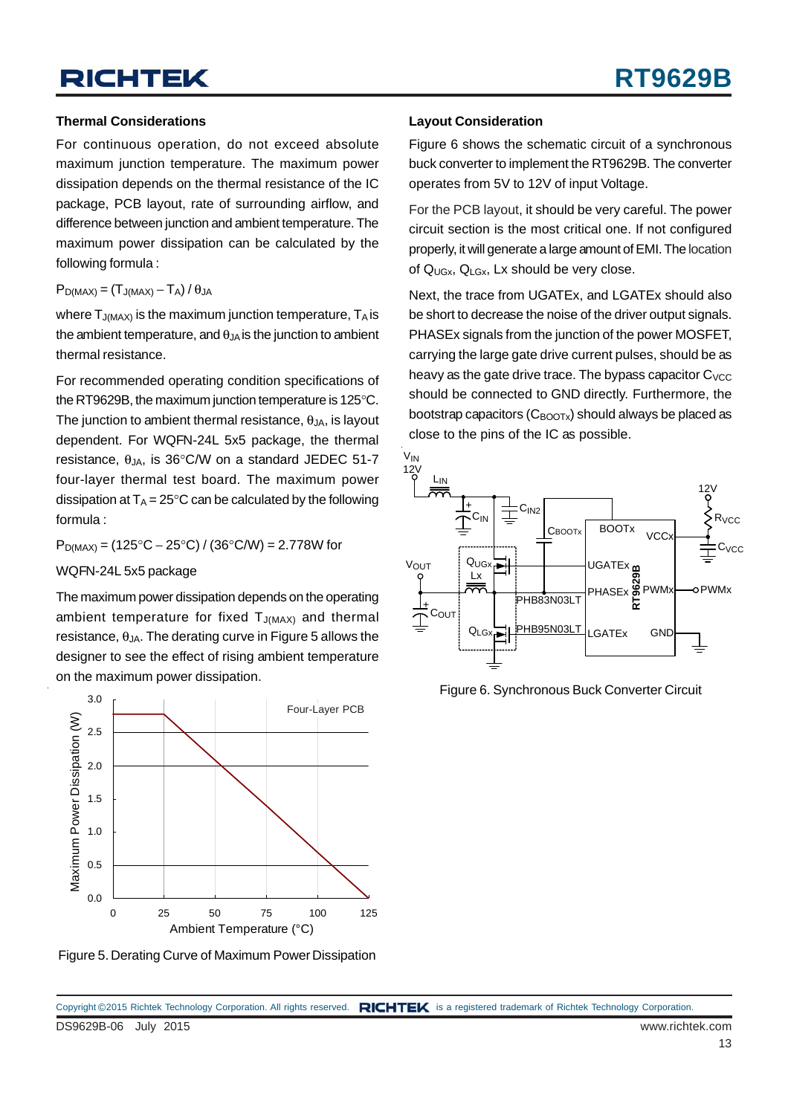#### **Thermal Considerations**

For continuous operation, do not exceed absolute maximum junction temperature. The maximum power dissipation depends on the thermal resistance of the IC package, PCB layout, rate of surrounding airflow, and difference between junction and ambient temperature. The maximum power dissipation can be calculated by the following formula :

#### $P_{D(MAX)} = (T_{J(MAX)} - T_A)/\theta_{JA}$

where  $T_{J(MAX)}$  is the maximum junction temperature,  $T_A$  is the ambient temperature, and  $\theta_{JA}$  is the junction to ambient thermal resistance.

For recommended operating condition specifications of the RT9629B, the maximum junction temperature is 125°C. The junction to ambient thermal resistance,  $\theta_{JA}$ , is layout dependent. For WQFN-24L 5x5 package, the thermal resistance,  $\theta_{JA}$ , is 36°C/W on a standard JEDEC 51-7 four-layer thermal test board. The maximum power dissipation at  $T_A = 25^\circ \text{C}$  can be calculated by the following formula :

 $P_{D(MAX)} = (125^{\circ}C - 25^{\circ}C) / (36^{\circ}C/W) = 2.778W$  for

WQFN-24L 5x5 package

The maximum power dissipation depends on the operating ambient temperature for fixed  $T_{J(MAX)}$  and thermal resistance,  $\theta_{JA}$ . The derating curve in Figure 5 allows the designer to see the effect of rising ambient temperature on the maximum power dissipation.

![](_page_12_Figure_10.jpeg)

Figure 5. Derating Curve of Maximum Power Dissipation

#### **Layout Consideration**

Figure 6 shows the schematic circuit of a synchronous buck converter to implement the RT9629B. The converter operates from 5V to 12V of input Voltage.

For the PCB layout, it should be very careful. The power circuit section is the most critical one. If not configured properly, it will generate a large amount of EMI. The location of  $Q_{UGX}$ ,  $Q_{LGX}$ , Lx should be very close.

Next, the trace from UGATEx, and LGATEx should also be short to decrease the noise of the driver output signals. PHASEx signals from the junction of the power MOSFET, carrying the large gate drive current pulses, should be as heavy as the gate drive trace. The bypass capacitor  $C_{VCC}$ should be connected to GND directly. Furthermore, the bootstrap capacitors  $(C_{\text{BNOTx}})$  should always be placed as close to the pins of the IC as possible.

![](_page_12_Figure_16.jpeg)

Figure 6. Synchronous Buck Converter Circuit

DS9629B-06 July 2015 www.richtek.com Copyright ©2015 Richtek Technology Corporation. All rights reserved. RICHTEK is a registered trademark of Richtek Technology Corporation.